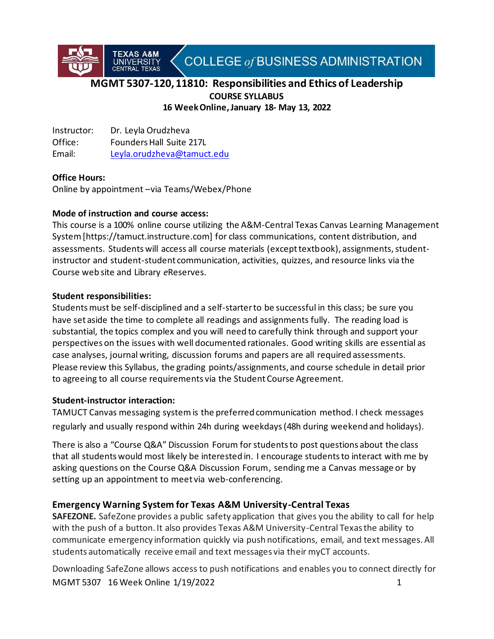COLLEGE of BUSINESS ADMINISTRATION

# **MGMT 5307-120, 11810: Responsibilities and Ethics of Leadership COURSE SYLLABUS 16 Week Online, January 18- May 13, 2022**

Instructor: Dr. Leyla Orudzheva Office: Founders Hall Suite 217L Email: [Leyla.orudzheva@tamuct.edu](mailto:Leyla.orudzheva@tamuct.edu)

T<mark>exas A&M</mark><br>UNIVERSITY

# **Office Hours:**

Online by appointment –via Teams/Webex/Phone

# **Mode of instruction and course access:**

This course is a 100% online course utilizing the A&M-Central Texas Canvas Learning Management System [https://tamuct.instructure.com] for class communications, content distribution, and assessments. Students will access all course materials (except textbook), assignments, studentinstructor and student-student communication, activities, quizzes, and resource links via the Course web site and Library *e*Reserves.

### **Student responsibilities:**

Studentsmust be self-disciplined and a self-starter to be successful in this class; be sure you have set aside the time to complete all readings and assignments fully. The reading load is substantial, the topics complex and you will need to carefully think through and support your perspectives on the issues with well documented rationales. Good writing skills are essential as case analyses, journal writing, discussion forums and papers are all required assessments. Please review this Syllabus, the grading points/assignments, and course schedule in detail prior to agreeing to all course requirements via the Student Course Agreement.

# **Student-instructor interaction:**

TAMUCT Canvas messaging systemis the preferred communication method. I check messages regularly and usually respond within 24h during weekdays(48h during weekend and holidays).

There is also a "Course Q&A" Discussion Forum for students to post questions about the class that all students would most likely be interested in. I encourage studentsto interact with me by asking questions on the Course Q&A Discussion Forum, sending me a Canvas message or by setting up an appointment to meet via web-conferencing.

# **Emergency Warning System for Texas A&M University-Central Texas**

**SAFEZONE.** SafeZone provides a public safety application that gives you the ability to call for help with the push of a button. It also provides Texas A&M University-Central Texas the ability to communicate emergency information quickly via push notifications, email, and text messages. All students automatically receive email and text messages via their myCT accounts.

MGMT 5307 16 Week Online 1/19/2022 1 Downloading SafeZone allows access to push notifications and enables you to connect directly for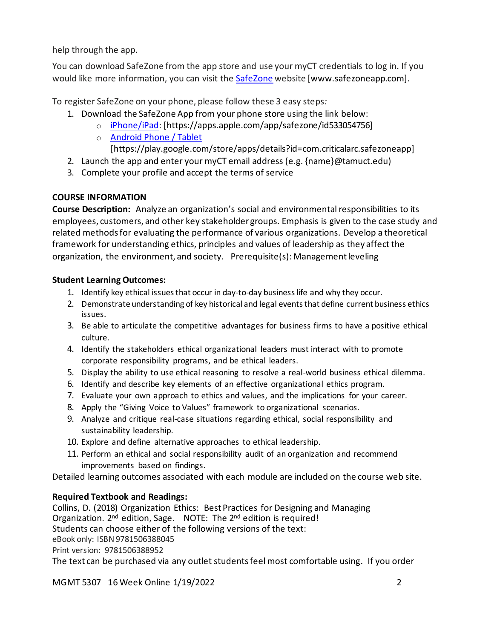help through the app.

You can download SafeZone from the app store and use your myCT credentials to log in. If you would like more information, you can visit the [SafeZone](http://www.safezoneapp.com/) website [www.safezoneapp.com].

To register SafeZone on your phone, please follow these 3 easy steps*:*

- 1. Download the SafeZone App from your phone store using the link below:
	- o [iPhone/iPad:](https://apps.apple.com/app/safezone/id533054756) [https://apps.apple.com/app/safezone/id533054756]
		- o [Android Phone / Tablet](https://play.google.com/store/apps/details?id=com.criticalarc.safezoneapp)
			- [https://play.google.com/store/apps/details?id=com.criticalarc.safezoneapp]
- 2. Launch the app and enter your myCT email address (e.g.  ${name}$ )  ${}$   $@$  tamuct.edu)
- 3. Complete your profile and accept the terms of service

# **COURSE INFORMATION**

**Course Description:** Analyze an organization's social and environmental responsibilities to its employees, customers, and other key stakeholder groups. Emphasis is given to the case study and related methodsfor evaluating the performance of various organizations. Develop a theoretical framework for understanding ethics, principles and values of leadership as they affect the organization, the environment, and society. Prerequisite(s): Managementleveling

# **Student Learning Outcomes:**

- 1. Identify key ethical issues that occur in day-to-day business life and why they occur.
- 2. Demonstrate understanding of key historical and legal events that define current business ethics issues.
- 3. Be able to articulate the competitive advantages for business firms to have a positive ethical culture.
- 4. Identify the stakeholders ethical organizational leaders must interact with to promote corporate responsibility programs, and be ethical leaders.
- 5. Display the ability to use ethical reasoning to resolve a real-world business ethical dilemma.
- 6. Identify and describe key elements of an effective organizational ethics program.
- 7. Evaluate your own approach to ethics and values, and the implications for your career.
- 8. Apply the "Giving Voice to Values" framework to organizational scenarios.
- 9. Analyze and critique real-case situations regarding ethical, social responsibility and sustainability leadership.
- 10. Explore and define alternative approaches to ethical leadership.
- 11. Perform an ethical and social responsibility audit of an organization and recommend improvements based on findings.

Detailed learning outcomes associated with each module are included on the course web site.

# **Required Textbook and Readings:**

Collins, D. (2018) Organization Ethics: Best Practices for Designing and Managing Organization. 2<sup>nd</sup> edition, Sage. NOTE: The 2<sup>nd</sup> edition is required! Students can choose either of the following versions of the text: eBook only: ISBN 9781506388045 Print version: 9781506388952

The text can be purchased via any outlet students feel most comfortable using. If you order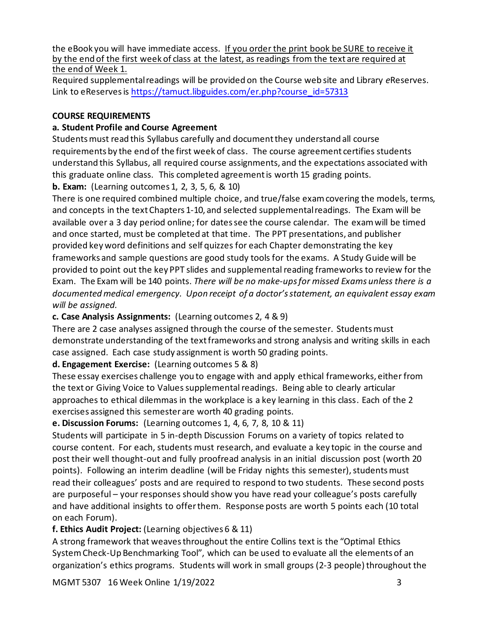the eBook you will have immediate access. If you order the print book be SURE to receive it by the end of the first week of class at the latest, as readings from the text are required at the end of Week 1.

Required supplemental readings will be provided on the Course web site and Library *e*Reserves. Link to eReserves is [https://tamuct.libguides.com/er.php?course\\_id=57313](https://tamuct.libguides.com/er.php?course_id=57313)

# **COURSE REQUIREMENTS**

# **a. Student Profile and Course Agreement**

Students must read this Syllabus carefully and document they understand all course requirements by the end of the first week of class. The course agreement certifies students understand this Syllabus, all required course assignments, and the expectations associated with this graduate online class. This completed agreement is worth 15 grading points.

**b. Exam:** (Learning outcomes 1, 2, 3, 5, 6, & 10)

There is one required combined multiple choice, and true/false exam covering the models, terms, and concepts in the text Chapters 1-10, and selected supplemental readings. The Exam will be available over a 3 day period online; for datessee the course calendar. The exam will be timed and once started, must be completed at that time. The PPT presentations, and publisher provided key word definitions and self quizzes for each Chapter demonstrating the key frameworks and sample questions are good study tools for the exams. A Study Guide will be provided to point out the key PPT slides and supplemental reading frameworks to review for the Exam. The Exam will be 140 points. *There will be no make-upsfor missed Exams unless there is a documentedmedical emergency. Upon receipt of a doctor's statement, an equivalent essay exam will be assigned.* 

# **c. Case Analysis Assignments:** (Learning outcomes 2, 4 & 9)

There are 2 case analyses assigned through the course of the semester. Students must demonstrate understanding of the text frameworks and strong analysis and writing skills in each case assigned. Each case study assignment is worth 50 grading points.

# **d. Engagement Exercise:** (Learning outcomes 5 & 8)

These essay exercises challenge you to engage with and apply ethical frameworks, either from the text or Giving Voice to Values supplemental readings. Being able to clearly articular approaches to ethical dilemmas in the workplace is a key learning in this class. Each of the 2 exercises assigned this semester are worth 40 grading points.

# **e. Discussion Forums:** (Learning outcomes 1, 4, 6, 7, 8, 10 & 11)

Students will participate in 5 in-depth Discussion Forums on a variety of topics related to course content. For each, students must research, and evaluate a key topic in the course and post their well thought-out and fully proofread analysis in an initial discussion post (worth 20 points). Following an interim deadline (will be Friday nights this semester), students must read their colleagues' posts and are required to respond to two students. These second posts are purposeful – your responses should show you have read your colleague's posts carefully and have additional insights to offer them. Response posts are worth 5 points each (10 total on each Forum).

# **f. Ethics Audit Project:** (Learning objectives 6 & 11)

A strong framework that weaves throughout the entire Collins text is the "Optimal Ethics System Check-Up Benchmarking Tool", which can be used to evaluate all the elements of an organization's ethics programs. Students will work in small groups (2-3 people) throughout the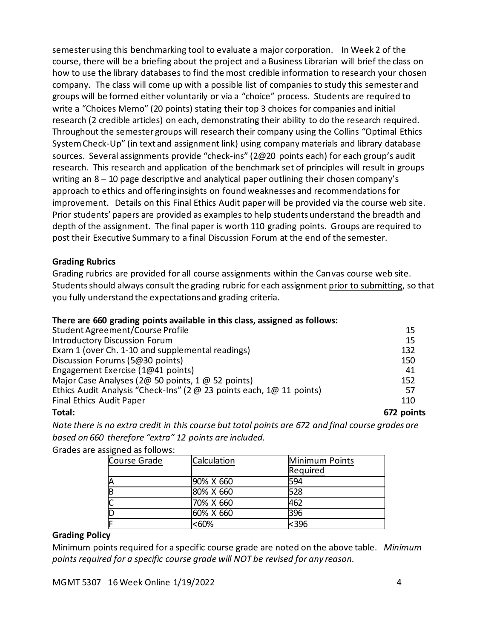semester using this benchmarking tool to evaluate a major corporation. In Week 2 of the course, there will be a briefing about the project and a Business Librarian will brief the class on how to use the library databases to find the most credible information to research your chosen company. The class will come up with a possible list of companies to study this semester and groups will be formed either voluntarily or via a "choice" process. Students are required to write a "Choices Memo" (20 points) stating their top 3 choices for companies and initial research (2 credible articles) on each, demonstrating their ability to do the research required. Throughout the semester groups will research their company using the Collins "Optimal Ethics System Check-Up" (in text and assignment link) using company materials and library database sources. Several assignments provide "check-ins" (2@20 points each) for each group's audit research. This research and application of the benchmark set of principles will result in groups writing an 8 – 10 page descriptive and analytical paper outlining their chosen company's approach to ethics and offering insights on found weaknesses and recommendations for improvement. Details on this Final Ethics Audit paper will be provided via the course web site. Prior students' papers are provided as examples to help students understand the breadth and depth of the assignment. The final paper is worth 110 grading points. Groups are required to post their Executive Summary to a final Discussion Forum at the end of the semester.

### **Grading Rubrics**

Grading rubrics are provided for all course assignments within the Canvas course web site. Students should always consult the grading rubric for each assignment prior to submitting, so that you fully understand the expectations and grading criteria.

### **There are 660 grading points available in this class, assigned as follows:**

| Student Agreement/Course Profile                                     | 15         |
|----------------------------------------------------------------------|------------|
| <b>Introductory Discussion Forum</b>                                 | 15         |
| Exam 1 (over Ch. 1-10 and supplemental readings)                     | 132        |
| Discussion Forums (5@30 points)                                      | 150        |
| Engagement Exercise (1@41 points)                                    | 41         |
| Major Case Analyses (2@ 50 points, 1 @ 52 points)                    | 152        |
| Ethics Audit Analysis "Check-Ins" (2 @ 23 points each, 1@ 11 points) | 57         |
| Final Ethics Audit Paper                                             | 110        |
| Total:                                                               | 672 points |

*Note there is no extra credit in this course but total points are 672 and final course grades are based on 660 therefore "extra" 12 points are included.*

### Grades are assigned as follows:

| Course Grade | Calculation | Minimum Points<br>Required |
|--------------|-------------|----------------------------|
| IA           | 90% X 660   | 594                        |
| ΙB           | 80% X 660   | 528                        |
| C            | 70% X 660   | 462                        |
| ID           | 60% X 660   | 396                        |
|              | <60%        | <396                       |

### **Grading Policy**

Minimum points required for a specific course grade are noted on the above table. *Minimum points required for a specific course grade will NOT be revised for any reason.*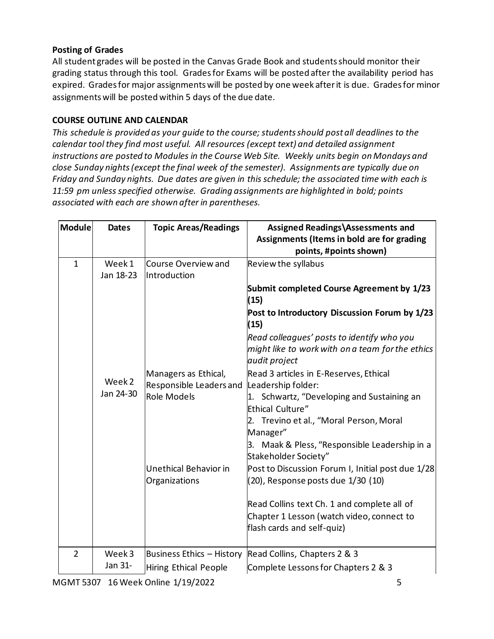# **Posting of Grades**

All student grades will be posted in the Canvas Grade Book and studentsshould monitor their grading status through this tool. Gradesfor Exams will be posted after the availability period has expired. Grades for major assignments will be posted by one week after it is due. Grades for minor assignments will be posted within 5 days of the due date.

# **COURSE OUTLINE AND CALENDAR**

*This schedule is provided as your guide to the course; studentsshould post all deadlines to the calendar tool they find most useful. All resources (except text) and detailed assignment instructions are posted to Modules in the Course Web Site. Weekly units begin on Mondays and close Sunday nights (except the final week of the semester). Assignments are typically due on Friday and Sunday nights. Due dates are given in this schedule; the associated time with each is 11:59 pm unless specified otherwise. Grading assignments are highlighted in bold; points associated with each are shown after in parentheses.*

| Module         | <b>Dates</b>      | <b>Topic Areas/Readings</b>  | Assigned Readings\Assessments and<br>Assignments (Items in bold are for grading<br>points, #points shown) |
|----------------|-------------------|------------------------------|-----------------------------------------------------------------------------------------------------------|
| $\mathbf{1}$   | Week 1            | Course Overview and          | Review the syllabus                                                                                       |
|                | Jan 18-23         | Introduction                 |                                                                                                           |
|                |                   |                              | Submit completed Course Agreement by 1/23<br>(15)                                                         |
|                |                   |                              | Post to Introductory Discussion Forum by 1/23<br>(15)                                                     |
|                |                   |                              | Read colleagues' posts to identify who you                                                                |
|                |                   |                              | might like to work with on a team for the ethics<br>audit project                                         |
|                |                   | Managers as Ethical,         | Read 3 articles in E-Reserves, Ethical                                                                    |
|                | Week <sub>2</sub> | Responsible Leaders and      | Leadership folder:                                                                                        |
|                | Jan 24-30         | <b>Role Models</b>           | 1. Schwartz, "Developing and Sustaining an                                                                |
|                |                   |                              | Ethical Culture"                                                                                          |
|                |                   |                              | Trevino et al., "Moral Person, Moral<br>2.<br>Manager"                                                    |
|                |                   |                              | 3. Maak & Pless, "Responsible Leadership in a<br>Stakeholder Society"                                     |
|                |                   | Unethical Behavior in        | Post to Discussion Forum I, Initial post due 1/28                                                         |
|                |                   | Organizations                | (20), Response posts due 1/30 (10)                                                                        |
|                |                   |                              | Read Collins text Ch. 1 and complete all of                                                               |
|                |                   |                              | Chapter 1 Lesson (watch video, connect to<br>flash cards and self-quiz)                                   |
| $\overline{2}$ | Week3             |                              | Business Ethics - History Read Collins, Chapters 2 & 3                                                    |
|                | Jan 31-           | <b>Hiring Ethical People</b> | Complete Lessons for Chapters 2 & 3                                                                       |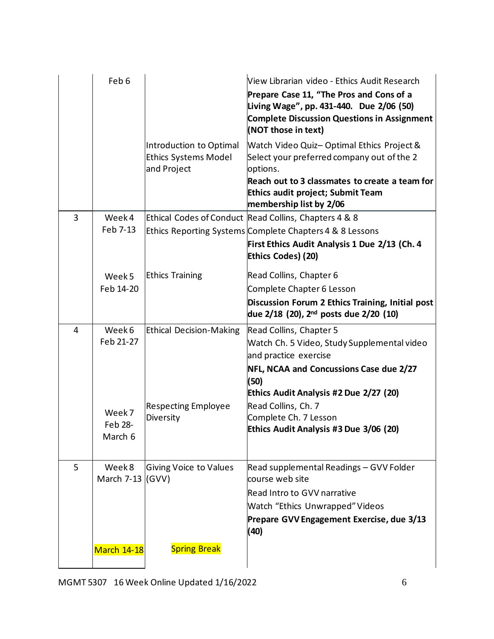|   | Feb <sub>6</sub>           |                                                                       | View Librarian video - Ethics Audit Research<br>Prepare Case 11, "The Pros and Cons of a<br>Living Wage", pp. 431-440. Due 2/06 (50)<br><b>Complete Discussion Questions in Assignment</b><br>(NOT those in text)                 |
|---|----------------------------|-----------------------------------------------------------------------|-----------------------------------------------------------------------------------------------------------------------------------------------------------------------------------------------------------------------------------|
|   |                            | Introduction to Optimal<br><b>Ethics Systems Model</b><br>and Project | <b>Watch Video Quiz- Optimal Ethics Project &amp;</b><br>Select your preferred company out of the 2<br>options.<br>Reach out to 3 classmates to create a team for<br>Ethics audit project; Submit Team<br>membership list by 2/06 |
| 3 | Week 4                     |                                                                       | Ethical Codes of Conduct Read Collins, Chapters 4 & 8                                                                                                                                                                             |
|   | Feb 7-13                   |                                                                       | Ethics Reporting Systems Complete Chapters 4 & 8 Lessons                                                                                                                                                                          |
|   |                            |                                                                       | First Ethics Audit Analysis 1 Due 2/13 (Ch. 4<br>Ethics Codes) (20)                                                                                                                                                               |
|   | Week 5                     | <b>Ethics Training</b>                                                | Read Collins, Chapter 6                                                                                                                                                                                                           |
|   | Feb 14-20                  |                                                                       | Complete Chapter 6 Lesson                                                                                                                                                                                                         |
|   |                            |                                                                       | Discussion Forum 2 Ethics Training, Initial post<br>due 2/18 (20), 2 <sup>nd</sup> posts due 2/20 (10)                                                                                                                            |
| 4 | Week 6                     | <b>Ethical Decision-Making</b>                                        | Read Collins, Chapter 5                                                                                                                                                                                                           |
|   | Feb 21-27                  |                                                                       | Watch Ch. 5 Video, Study Supplemental video<br>and practice exercise                                                                                                                                                              |
|   |                            |                                                                       | NFL, NCAA and Concussions Case due 2/27<br>(50)<br>Ethics Audit Analysis #2 Due 2/27 (20)                                                                                                                                         |
|   |                            | <b>Respecting Employee</b>                                            | Read Collins, Ch. 7                                                                                                                                                                                                               |
|   | Week 7                     | Diversity                                                             | Complete Ch. 7 Lesson                                                                                                                                                                                                             |
|   | Feb 28-<br>March 6         |                                                                       | Ethics Audit Analysis #3 Due 3/06 (20)                                                                                                                                                                                            |
|   |                            |                                                                       |                                                                                                                                                                                                                                   |
| 5 | Week 8<br>March 7-13 (GVV) | <b>Giving Voice to Values</b>                                         | Read supplemental Readings - GVV Folder<br>course web site                                                                                                                                                                        |
|   |                            |                                                                       | <b>Read Intro to GVV narrative</b>                                                                                                                                                                                                |
|   |                            |                                                                       | <b>Watch "Ethics Unwrapped" Videos</b>                                                                                                                                                                                            |
|   |                            |                                                                       | Prepare GVV Engagement Exercise, due 3/13<br>(40)                                                                                                                                                                                 |
|   | <b>March 14-18</b>         | <b>Spring Break</b>                                                   |                                                                                                                                                                                                                                   |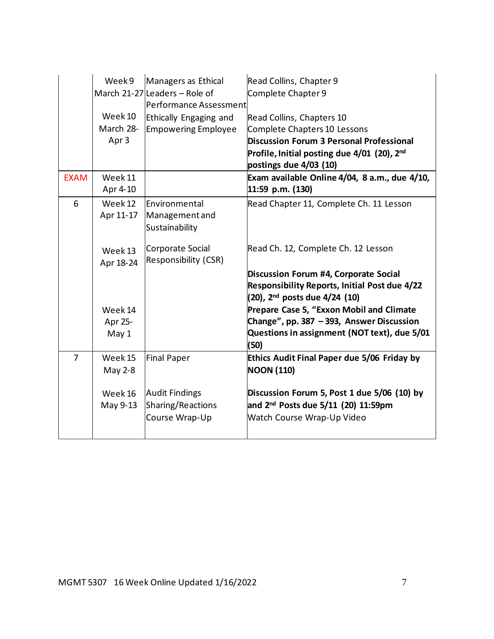|                | Week 9                                   | Managers as Ethical<br>March 21-27 Leaders - Role of<br>Performance Assessment | Read Collins, Chapter 9<br>Complete Chapter 9                                                                                                                                              |
|----------------|------------------------------------------|--------------------------------------------------------------------------------|--------------------------------------------------------------------------------------------------------------------------------------------------------------------------------------------|
|                | Week 10<br>March 28-<br>Apr <sub>3</sub> | Ethically Engaging and<br><b>Empowering Employee</b>                           | Read Collins, Chapters 10<br>Complete Chapters 10 Lessons<br>Discussion Forum 3 Personal Professional<br>Profile, Initial posting due 4/01 (20), 2 <sup>nd</sup><br>postings due 4/03 (10) |
| <b>EXAM</b>    | Week 11<br>Apr 4-10                      |                                                                                | Exam available Online 4/04, 8 a.m., due 4/10,<br>11:59 p.m. (130)                                                                                                                          |
| 6              | Week 12<br>Apr 11-17                     | Environmental<br>Management and<br>Sustainability                              | Read Chapter 11, Complete Ch. 11 Lesson                                                                                                                                                    |
|                | Week 13<br>Apr 18-24                     | Corporate Social<br>Responsibility (CSR)                                       | Read Ch. 12, Complete Ch. 12 Lesson                                                                                                                                                        |
|                |                                          |                                                                                | Discussion Forum #4, Corporate Social<br><b>Responsibility Reports, Initial Post due 4/22</b><br>(20), 2 <sup>nd</sup> posts due 4/24 (10)                                                 |
|                | Week 14<br>Apr 25-<br>May 1              |                                                                                | Prepare Case 5, "Exxon Mobil and Climate<br>Change", pp. 387 - 393, Answer Discussion<br>Questions in assignment (NOT text), due 5/01<br>(50)                                              |
| $\overline{7}$ | Week 15<br>May 2-8                       | <b>Final Paper</b>                                                             | Ethics Audit Final Paper due 5/06 Friday by<br><b>NOON (110)</b>                                                                                                                           |
|                | Week 16<br>May 9-13                      | <b>Audit Findings</b><br>Sharing/Reactions<br>Course Wrap-Up                   | Discussion Forum 5, Post 1 due 5/06 (10) by<br>and 2 <sup>nd</sup> Posts due 5/11 (20) 11:59pm<br><b>Watch Course Wrap-Up Video</b>                                                        |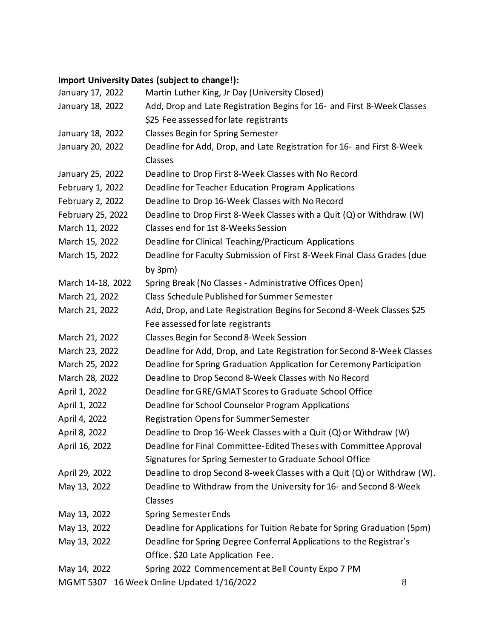# **Import University Dates (subject to change!):**

| Martin Luther King, Jr Day (University Closed)           |                                                                                                                                                                                                                                                                                                                                                                                                                                                                                                                                                                                                                                                                                                                                                                                                                                                                                                                                                                                    |
|----------------------------------------------------------|------------------------------------------------------------------------------------------------------------------------------------------------------------------------------------------------------------------------------------------------------------------------------------------------------------------------------------------------------------------------------------------------------------------------------------------------------------------------------------------------------------------------------------------------------------------------------------------------------------------------------------------------------------------------------------------------------------------------------------------------------------------------------------------------------------------------------------------------------------------------------------------------------------------------------------------------------------------------------------|
|                                                          |                                                                                                                                                                                                                                                                                                                                                                                                                                                                                                                                                                                                                                                                                                                                                                                                                                                                                                                                                                                    |
| \$25 Fee assessed for late registrants                   |                                                                                                                                                                                                                                                                                                                                                                                                                                                                                                                                                                                                                                                                                                                                                                                                                                                                                                                                                                                    |
| <b>Classes Begin for Spring Semester</b>                 |                                                                                                                                                                                                                                                                                                                                                                                                                                                                                                                                                                                                                                                                                                                                                                                                                                                                                                                                                                                    |
|                                                          |                                                                                                                                                                                                                                                                                                                                                                                                                                                                                                                                                                                                                                                                                                                                                                                                                                                                                                                                                                                    |
| Classes                                                  |                                                                                                                                                                                                                                                                                                                                                                                                                                                                                                                                                                                                                                                                                                                                                                                                                                                                                                                                                                                    |
| Deadline to Drop First 8-Week Classes with No Record     |                                                                                                                                                                                                                                                                                                                                                                                                                                                                                                                                                                                                                                                                                                                                                                                                                                                                                                                                                                                    |
| Deadline for Teacher Education Program Applications      |                                                                                                                                                                                                                                                                                                                                                                                                                                                                                                                                                                                                                                                                                                                                                                                                                                                                                                                                                                                    |
| Deadline to Drop 16-Week Classes with No Record          |                                                                                                                                                                                                                                                                                                                                                                                                                                                                                                                                                                                                                                                                                                                                                                                                                                                                                                                                                                                    |
|                                                          |                                                                                                                                                                                                                                                                                                                                                                                                                                                                                                                                                                                                                                                                                                                                                                                                                                                                                                                                                                                    |
| Classes end for 1st 8-Weeks Session                      |                                                                                                                                                                                                                                                                                                                                                                                                                                                                                                                                                                                                                                                                                                                                                                                                                                                                                                                                                                                    |
| Deadline for Clinical Teaching/Practicum Applications    |                                                                                                                                                                                                                                                                                                                                                                                                                                                                                                                                                                                                                                                                                                                                                                                                                                                                                                                                                                                    |
|                                                          |                                                                                                                                                                                                                                                                                                                                                                                                                                                                                                                                                                                                                                                                                                                                                                                                                                                                                                                                                                                    |
| by 3pm)                                                  |                                                                                                                                                                                                                                                                                                                                                                                                                                                                                                                                                                                                                                                                                                                                                                                                                                                                                                                                                                                    |
| Spring Break (No Classes - Administrative Offices Open)  |                                                                                                                                                                                                                                                                                                                                                                                                                                                                                                                                                                                                                                                                                                                                                                                                                                                                                                                                                                                    |
| <b>Class Schedule Published for Summer Semester</b>      |                                                                                                                                                                                                                                                                                                                                                                                                                                                                                                                                                                                                                                                                                                                                                                                                                                                                                                                                                                                    |
|                                                          |                                                                                                                                                                                                                                                                                                                                                                                                                                                                                                                                                                                                                                                                                                                                                                                                                                                                                                                                                                                    |
| Fee assessed for late registrants                        |                                                                                                                                                                                                                                                                                                                                                                                                                                                                                                                                                                                                                                                                                                                                                                                                                                                                                                                                                                                    |
| Classes Begin for Second 8-Week Session                  |                                                                                                                                                                                                                                                                                                                                                                                                                                                                                                                                                                                                                                                                                                                                                                                                                                                                                                                                                                                    |
|                                                          |                                                                                                                                                                                                                                                                                                                                                                                                                                                                                                                                                                                                                                                                                                                                                                                                                                                                                                                                                                                    |
|                                                          |                                                                                                                                                                                                                                                                                                                                                                                                                                                                                                                                                                                                                                                                                                                                                                                                                                                                                                                                                                                    |
| Deadline to Drop Second 8-Week Classes with No Record    |                                                                                                                                                                                                                                                                                                                                                                                                                                                                                                                                                                                                                                                                                                                                                                                                                                                                                                                                                                                    |
| Deadline for GRE/GMAT Scores to Graduate School Office   |                                                                                                                                                                                                                                                                                                                                                                                                                                                                                                                                                                                                                                                                                                                                                                                                                                                                                                                                                                                    |
| Deadline for School Counselor Program Applications       |                                                                                                                                                                                                                                                                                                                                                                                                                                                                                                                                                                                                                                                                                                                                                                                                                                                                                                                                                                                    |
| <b>Registration Opens for Summer Semester</b>            |                                                                                                                                                                                                                                                                                                                                                                                                                                                                                                                                                                                                                                                                                                                                                                                                                                                                                                                                                                                    |
|                                                          |                                                                                                                                                                                                                                                                                                                                                                                                                                                                                                                                                                                                                                                                                                                                                                                                                                                                                                                                                                                    |
|                                                          |                                                                                                                                                                                                                                                                                                                                                                                                                                                                                                                                                                                                                                                                                                                                                                                                                                                                                                                                                                                    |
| Signatures for Spring Semester to Graduate School Office |                                                                                                                                                                                                                                                                                                                                                                                                                                                                                                                                                                                                                                                                                                                                                                                                                                                                                                                                                                                    |
|                                                          |                                                                                                                                                                                                                                                                                                                                                                                                                                                                                                                                                                                                                                                                                                                                                                                                                                                                                                                                                                                    |
|                                                          |                                                                                                                                                                                                                                                                                                                                                                                                                                                                                                                                                                                                                                                                                                                                                                                                                                                                                                                                                                                    |
| Classes                                                  |                                                                                                                                                                                                                                                                                                                                                                                                                                                                                                                                                                                                                                                                                                                                                                                                                                                                                                                                                                                    |
| <b>Spring Semester Ends</b>                              |                                                                                                                                                                                                                                                                                                                                                                                                                                                                                                                                                                                                                                                                                                                                                                                                                                                                                                                                                                                    |
|                                                          |                                                                                                                                                                                                                                                                                                                                                                                                                                                                                                                                                                                                                                                                                                                                                                                                                                                                                                                                                                                    |
|                                                          |                                                                                                                                                                                                                                                                                                                                                                                                                                                                                                                                                                                                                                                                                                                                                                                                                                                                                                                                                                                    |
| Office. \$20 Late Application Fee.                       |                                                                                                                                                                                                                                                                                                                                                                                                                                                                                                                                                                                                                                                                                                                                                                                                                                                                                                                                                                                    |
| Spring 2022 Commencement at Bell County Expo 7 PM        |                                                                                                                                                                                                                                                                                                                                                                                                                                                                                                                                                                                                                                                                                                                                                                                                                                                                                                                                                                                    |
| MGMT 5307 16 Week Online Updated 1/16/2022               | 8                                                                                                                                                                                                                                                                                                                                                                                                                                                                                                                                                                                                                                                                                                                                                                                                                                                                                                                                                                                  |
|                                                          | Add, Drop and Late Registration Begins for 16- and First 8-Week Classes<br>Deadline for Add, Drop, and Late Registration for 16- and First 8-Week<br>Deadline to Drop First 8-Week Classes with a Quit (Q) or Withdraw (W)<br>Deadline for Faculty Submission of First 8-Week Final Class Grades (due<br>Add, Drop, and Late Registration Begins for Second 8-Week Classes \$25<br>Deadline for Add, Drop, and Late Registration for Second 8-Week Classes<br>Deadline for Spring Graduation Application for Ceremony Participation<br>Deadline to Drop 16-Week Classes with a Quit (Q) or Withdraw (W)<br>Deadline for Final Committee-Edited Theses with Committee Approval<br>Deadline to drop Second 8-week Classes with a Quit (Q) or Withdraw (W).<br>Deadline to Withdraw from the University for 16- and Second 8-Week<br>Deadline for Applications for Tuition Rebate for Spring Graduation (5pm)<br>Deadline for Spring Degree Conferral Applications to the Registrar's |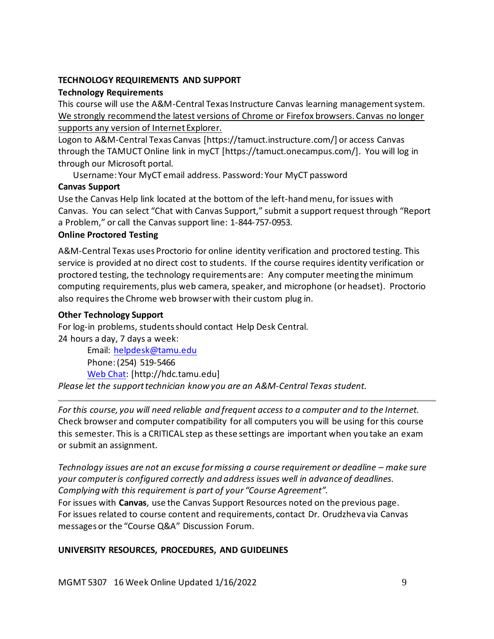### **TECHNOLOGY REQUIREMENTS AND SUPPORT**

### **Technology Requirements**

This course will use the A&M-Central Texas Instructure Canvas learning management system. We strongly recommend the latest versions of Chrome or Firefox browsers. Canvas no longer supports any version of Internet Explorer.

Logon to A&M-Central Texas Canvas [https://tamuct.instructure.com/] or access Canvas through the TAMUCT Online link in myCT [https://tamuct.onecampus.com/]. You will log in through our Microsoft portal.

Username: Your MyCT email address. Password: Your MyCT password

# **Canvas Support**

Use the Canvas Help link located at the bottom of the left-hand menu, for issues with Canvas. You can select "Chat with Canvas Support," submit a support request through "Report a Problem," or call the Canvas support line: 1-844-757-0953.

# **Online Proctored Testing**

A&M-Central Texas uses Proctorio for online identity verification and proctored testing. This service is provided at no direct cost to students. If the course requires identity verification or proctored testing, the technology requirements are: Any computer meeting the minimum computing requirements, plus web camera, speaker, and microphone (or headset). Proctorio also requires the Chrome web browser with their custom plug in.

# **Other Technology Support**

For log-in problems, students should contact Help Desk Central. 24 hours a day, 7 days a week:

Email: [helpdesk@tamu.edu](mailto:helpdesk@tamu.edu) Phone: (254) 519-5466 [Web Chat:](http://hdc.tamu.edu/) [http://hdc.tamu.edu] *Please let the support technician know you are an A&M-Central Texas student.*

*For this course, you will need reliable and frequent access to a computer and to the Internet.*  Check browser and computer compatibility for all computers you will be using for this course this semester. This is a CRITICAL step as these settings are important when you take an exam or submit an assignment.

*Technology issues are not an excuse for missing a course requirement or deadline – make sure your computer is configured correctly and address issues well in advanceof deadlines. Complying with this requirement is part of your "Course Agreement".*

For issues with **Canvas**, use the Canvas Support Resources noted on the previous page. For issues related to course content and requirements, contact Dr. Orudzheva via Canvas messages or the "Course Q&A" Discussion Forum.

# **UNIVERSITY RESOURCES, PROCEDURES, AND GUIDELINES**

MGMT 5307 16 Week Online Updated 1/16/2022 9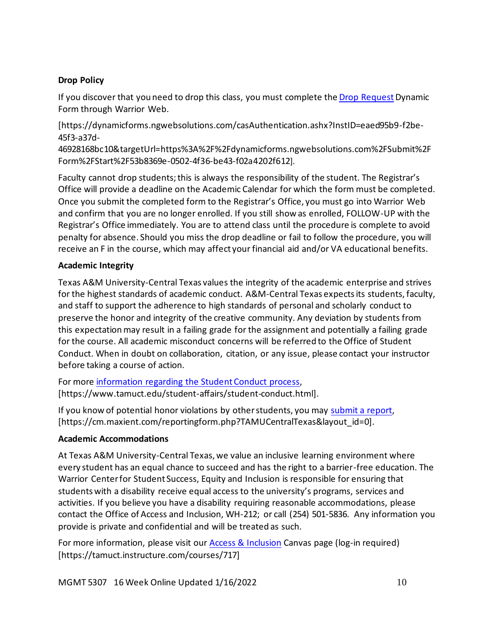# **Drop Policy**

If you discover that you need to drop this class, you must complete th[e Drop Request](https://dynamicforms.ngwebsolutions.com/casAuthentication.ashx?InstID=eaed95b9-f2be-45f3-a37d-46928168bc10&targetUrl=https%3A%2F%2Fdynamicforms.ngwebsolutions.com%2FSubmit%2FForm%2FStart%2F53b8369e-0502-4f36-be43-f02a4202f612) Dynamic Form through Warrior Web.

[https://dynamicforms.ngwebsolutions.com/casAuthentication.ashx?InstID=eaed95b9-f2be-45f3-a37d-

46928168bc10&targetUrl=https%3A%2F%2Fdynamicforms.ngwebsolutions.com%2FSubmit%2F Form%2FStart%2F53b8369e-0502-4f36-be43-f02a4202f612].

Faculty cannot drop students; this is always the responsibility of the student. The Registrar's Office will provide a deadline on the Academic Calendar for which the form must be completed. Once you submit the completed form to the Registrar's Office, you must go into Warrior Web and confirm that you are no longer enrolled. If you still show as enrolled, FOLLOW-UP with the Registrar's Office immediately. You are to attend class until the procedure is complete to avoid penalty for absence. Should you miss the drop deadline or fail to follow the procedure, you will receive an F in the course, which may affect your financial aid and/or VA educational benefits.

# **Academic Integrity**

Texas A&M University-Central Texas values the integrity of the academic enterprise and strives for the highest standards of academic conduct. A&M-Central Texas expects its students, faculty, and staff to support the adherence to high standards of personal and scholarly conduct to preserve the honor and integrity of the creative community. Any deviation by students from this expectationmay result in a failing grade for the assignment and potentially a failing grade for the course. All academic misconduct concerns will be referred to the Office of Student Conduct. When in doubt on collaboration, citation, or any issue, please contact your instructor before taking a course of action.

For more [information](https://nam04.safelinks.protection.outlook.com/?url=https%3A%2F%2Fwww.tamuct.edu%2Fstudent-affairs%2Fstudent-conduct.html&data=04%7C01%7Clisa.bunkowski%40tamuct.edu%7Ccfb6e486f24745f53e1a08d910055cb2%7C9eed4e3000f744849ff193ad8005acec%7C0%7C0%7C637558437485252160%7CUnknown%7CTWFpbGZsb3d8eyJWIjoiMC4wLjAwMDAiLCJQIjoiV2luMzIiLCJBTiI6Ik1haWwiLCJXVCI6Mn0%3D%7C1000&sdata=yjftDEVHvLX%2FhM%2FcFU0B99krV1RgEWR%2BJ%2BhvtoR6TYk%3D&reserved=0) regarding the Student Conduct process, [https://www.tamuct.edu/student-affairs/student-conduct.html].

If you know of potential honor violations by otherstudents, you may [submit](https://nam04.safelinks.protection.outlook.com/?url=https%3A%2F%2Fcm.maxient.com%2Freportingform.php%3FTAMUCentralTexas%26layout_id%3D0&data=04%7C01%7Clisa.bunkowski%40tamuct.edu%7Ccfb6e486f24745f53e1a08d910055cb2%7C9eed4e3000f744849ff193ad8005acec%7C0%7C0%7C637558437485262157%7CUnknown%7CTWFpbGZsb3d8eyJWIjoiMC4wLjAwMDAiLCJQIjoiV2luMzIiLCJBTiI6Ik1haWwiLCJXVCI6Mn0%3D%7C1000&sdata=CXGkOa6uPDPX1IMZ87z3aZDq2n91xfHKu4MMS43Ejjk%3D&reserved=0) a report, [https://cm.maxient.com/reportingform.php?TAMUCentralTexas&layout\_id=0].

# **Academic Accommodations**

At Texas A&M University-Central Texas, we value an inclusive learning environment where every student has an equal chance to succeed and has the right to a barrier-free education. The Warrior Center for Student Success, Equity and Inclusion is responsible for ensuring that students with a disability receive equal access to the university's programs, services and activities. If you believe you have a disability requiring reasonable accommodations, please contact the Office of Access and Inclusion, WH-212; or call (254) 501-5836. Any information you provide is private and confidential and will be treated as such.

For more information, please visit our [Access & Inclusion](https://tamuct.instructure.com/courses/717) Canvas page (log-in required) [https://tamuct.instructure.com/courses/717]

MGMT 5307 16 Week Online Updated 1/16/2022 10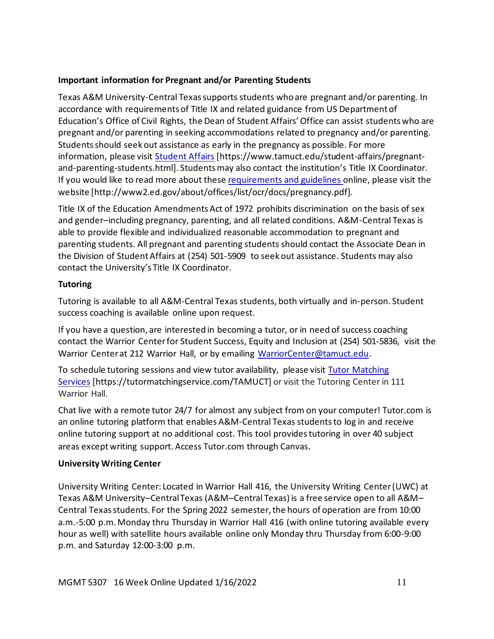# **Important information for Pregnant and/or Parenting Students**

Texas A&M University-Central Texas supports students who are pregnant and/or parenting. In accordance with requirements of Title IX and related guidance from US Department of Education's Office of Civil Rights, the Dean of Student Affairs' Office can assist students who are pregnant and/or parenting in seeking accommodations related to pregnancy and/or parenting. Students should seek out assistance as early in the pregnancy as possible. For more information, please visit [Student Affairs](https://www.tamuct.edu/student-affairs/pregnant-and-parenting-students.html) [https://www.tamuct.edu/student-affairs/pregnantand-parenting-students.html]. Students may also contact the institution's Title IX Coordinator. If you would like to read more about thes[e requirements and guidelines](http://www2.ed.gov/about/offices/list/ocr/docs/pregnancy.pdf) online, please visit the website [http://www2.ed.gov/about/offices/list/ocr/docs/pregnancy.pdf].

Title IX of the Education Amendments Act of 1972 prohibits discrimination on the basis of sex and gender–including pregnancy, parenting, and all related conditions. A&M-Central Texas is able to provide flexible and individualized reasonable accommodation to pregnant and parenting students. All pregnant and parenting students should contact the Associate Dean in the Division of Student Affairs at (254) 501-5909 to seek out assistance. Students may also contact the University's Title IX Coordinator.

# **Tutoring**

Tutoring is available to all A&M-Central Texas students, both virtually and in-person. Student success coaching is available online upon request.

If you have a question, are interested in becoming a tutor, or in need of success coaching contact the Warrior Centerfor Student Success, Equity and Inclusion at (254) 501-5836, visit the Warrior Center at 212 Warrior Hall, or by emailing [WarriorCenter@tamuct.edu.](mailto:WarriorCenter@tamuct.edu)

To schedule tutoring sessions and view tutor availability, please visit Tutor [Matching](https://tutormatchingservice.com/TAMUCT) [Services](https://tutormatchingservice.com/TAMUCT) [https://tutormatchingservice.com/TAMUCT] or visit the Tutoring Center in 111 Warrior Hall.

Chat live with a remote tutor 24/7 for almost any subject from on your computer! Tutor.com is an online tutoring platform that enables A&M-Central Texas studentsto log in and receive online tutoring support at no additional cost. This tool providestutoring in over 40 subject areas except writing support. Access Tutor.com through Canvas.

# **University Writing Center**

University Writing Center: Located in Warrior Hall 416, the University Writing Center (UWC) at Texas A&M University–Central Texas (A&M–Central Texas) is a free service open to all A&M– Central Texas students. For the Spring 2022 semester, the hours of operation are from 10:00 a.m.-5:00 p.m. Monday thru Thursday in Warrior Hall 416 (with online tutoring available every hour as well) with satellite hours available online only Monday thru Thursday from 6:00-9:00 p.m. and Saturday 12:00-3:00 p.m.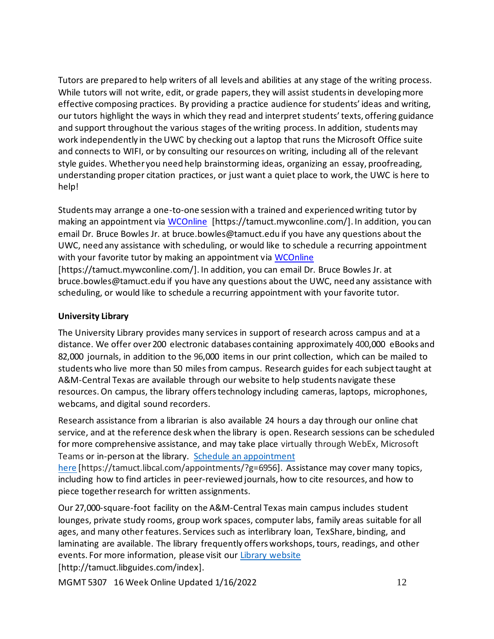Tutors are prepared to help writers of all levels and abilities at any stage of the writing process. While tutors will not write, edit, or grade papers, they will assist students in developing more effective composing practices. By providing a practice audience for students' ideas and writing, our tutors highlight the ways in which they read and interpret students' texts, offering guidance and support throughout the various stages of the writing process. In addition, students may work independently in the UWC by checking out a laptop that runs the Microsoft Office suite and connects to WIFI, or by consulting our resources on writing, including all of the relevant style guides. Whether you need help brainstorming ideas, organizing an essay, proofreading, understanding proper citation practices, or just want a quiet place to work, the UWC is here to help!

Students may arrange a one-to-one session with a trained and experienced writing tutor by making an appointment via [WCOnline](https://tamuct.mywconline.com/) [https://tamuct.mywconline.com/]. In addition, you can email Dr. Bruce Bowles Jr. at bruce.bowles@tamuct.edu if you have any questions about the UWC, need any assistance with scheduling, or would like to schedule a recurring appointment with your favorite tutor by making an appointment via [WCOnline](https://tamuct.mywconline.com/) [https://tamuct.mywconline.com/]. In addition, you can email Dr. Bruce Bowles Jr. at bruce.bowles@tamuct.edu if you have any questions about the UWC, need any assistance with scheduling, or would like to schedule a recurring appointment with your favorite tutor.

### **University Library**

The University Library provides many services in support of research across campus and at a distance. We offer over200 electronic databases containing approximately 400,000 eBooks and 82,000 journals, in addition to the 96,000 items in our print collection, which can be mailed to students who live more than 50 miles from campus. Research guides for each subject taught at A&M-Central Texas are available through our website to help students navigate these resources.On campus, the library offerstechnology including cameras, laptops, microphones, webcams, and digital sound recorders.

Research assistance from a librarian is also available 24 hours a day through our online chat service, and at the reference desk when the library is open. Research sessions can be scheduled for more comprehensive assistance, and may take place virtually through WebEx, Microsoft Teams or in-person at the library. Schedule an [appointment](https://nam04.safelinks.protection.outlook.com/?url=https%3A%2F%2Ftamuct.libcal.com%2Fappointments%2F%3Fg%3D6956&data=04%7C01%7Clisa.bunkowski%40tamuct.edu%7Cde2c07d9f5804f09518008d9ab7ba6ff%7C9eed4e3000f744849ff193ad8005acec%7C0%7C0%7C637729369835011558%7CUnknown%7CTWFpbGZsb3d8eyJWIjoiMC4wLjAwMDAiLCJQIjoiV2luMzIiLCJBTiI6Ik1haWwiLCJXVCI6Mn0%3D%7C3000&sdata=KhtjgRSAw9aq%2FoBsB6wyu8b7PSuGN5EGPypzr3Ty2No%3D&reserved=0) [here](https://nam04.safelinks.protection.outlook.com/?url=https%3A%2F%2Ftamuct.libcal.com%2Fappointments%2F%3Fg%3D6956&data=04%7C01%7Clisa.bunkowski%40tamuct.edu%7Cde2c07d9f5804f09518008d9ab7ba6ff%7C9eed4e3000f744849ff193ad8005acec%7C0%7C0%7C637729369835011558%7CUnknown%7CTWFpbGZsb3d8eyJWIjoiMC4wLjAwMDAiLCJQIjoiV2luMzIiLCJBTiI6Ik1haWwiLCJXVCI6Mn0%3D%7C3000&sdata=KhtjgRSAw9aq%2FoBsB6wyu8b7PSuGN5EGPypzr3Ty2No%3D&reserved=0) [https://tamuct.libcal.com/appointments/?g=6956]. Assistance may cover many topics, including how to find articles in peer-reviewed journals, how to cite resources, and how to

piece togetherresearch for written assignments.

Our 27,000-square-foot facility on the A&M-Central Texas main campus includes student lounges, private study rooms, group work spaces, computer labs, family areas suitable for all ages, and many other features. Services such as interlibrary loan, TexShare, binding, and laminating are available. The library frequently offers workshops,tours, readings, and other events. For more information, please visit our Library [website](https://nam04.safelinks.protection.outlook.com/?url=https%3A%2F%2Ftamuct.libguides.com%2Findex&data=04%7C01%7Clisa.bunkowski%40tamuct.edu%7C7d8489e8839a4915335f08d916f067f2%7C9eed4e3000f744849ff193ad8005acec%7C0%7C0%7C637566044056484222%7CUnknown%7CTWFpbGZsb3d8eyJWIjoiMC4wLjAwMDAiLCJQIjoiV2luMzIiLCJBTiI6Ik1haWwiLCJXVCI6Mn0%3D%7C1000&sdata=2R755V6rcIyedGrd4Os5rkgn1PvhHKU3kUV1vBKiHFo%3D&reserved=0)

[http://tamuct.libguides.com/index].

MGMT 5307 16 Week Online Updated 1/16/2022 12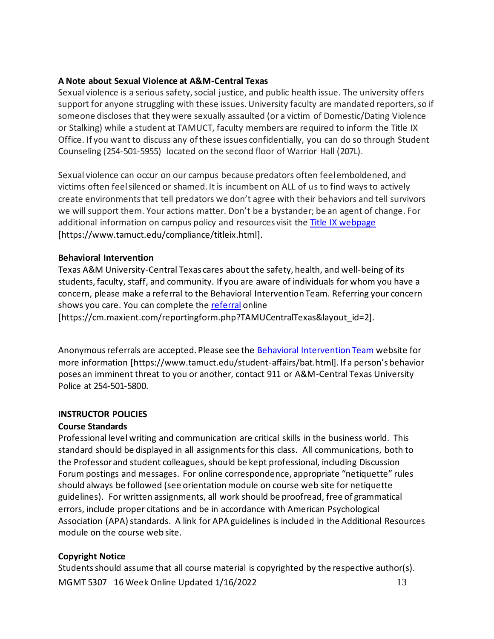### **A Note about Sexual Violence at A&M-Central Texas**

Sexual violence is a serious safety, social justice, and public health issue. The university offers support for anyone struggling with these issues. University faculty are mandated reporters, so if someone discloses that they were sexually assaulted (or a victim of Domestic/Dating Violence or Stalking) while a student at TAMUCT, faculty members are required to inform the Title IX Office. If you want to discuss any of these issues confidentially, you can do so through Student Counseling (254-501-5955) located on the second floor of Warrior Hall (207L).

Sexual violence can occur on our campus because predators often feel emboldened, and victims often feel silenced or shamed. It is incumbent on ALL of us to find ways to actively create environments that tell predators we don't agree with their behaviors and tell survivors we will support them. Your actions matter. Don't be a bystander; be an agent of change. For additional information on campus policy and resources visit the [Title IX webpage](https://www.tamuct.edu/compliance/titleix.html) [\[https://www.tamuct.edu/compliance/titleix.html\]](https://www.tamuct.edu/compliance/titleix.html).

### **Behavioral Intervention**

Texas A&M University-Central Texas cares about the safety, health, and well-being of its students, faculty, staff, and community. If you are aware of individuals for whom you have a concern, please make a referral to the Behavioral Intervention Team. Referring your concern shows you care. You can complete the [referral](https://cm.maxient.com/reportingform.php?TAMUCentralTexas&layout_id=2) online

[https://cm.maxient.com/reportingform.php?TAMUCentralTexas&layout\_id=2].

Anonymous referrals are accepted. Please see the [Behavioral Intervention Team](https://www.tamuct.edu/student-affairs/bat.html) website for more information [https://www.tamuct.edu/student-affairs/bat.html]. If a person's behavior poses an imminent threat to you or another, contact 911 or A&M-Central Texas University Police at 254-501-5800.

### **INSTRUCTOR POLICIES**

# **Course Standards**

Professional level writing and communication are critical skills in the business world. This standard should be displayed in all assignmentsfor this class. All communications, both to the Professorand student colleagues, should be kept professional, including Discussion Forum postings and messages. For online correspondence, appropriate "netiquette" rules should always be followed (see orientation module on course web site for netiquette guidelines). For written assignments, all work should be proofread, free of grammatical errors, include proper citations and be in accordance with American Psychological Association (APA) standards. A link for APA guidelines is included in the Additional Resources module on the course web site.

# **Copyright Notice**

MGMT 5307 16 Week Online Updated 1/16/2022 13 Students should assume that all course material is copyrighted by the respective author(s).